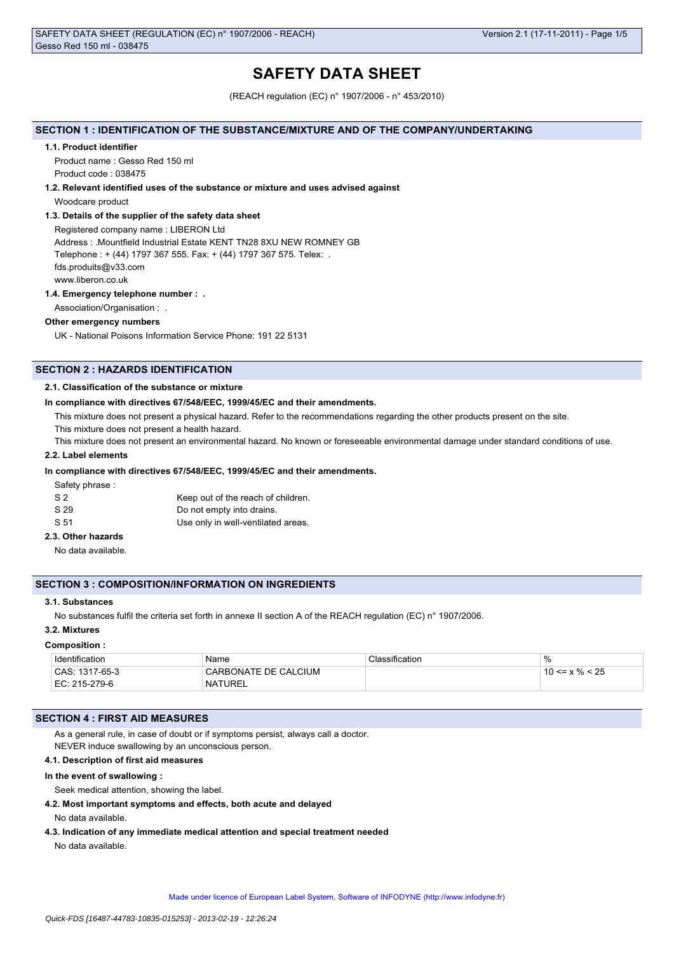# **SAFETY DATA SHEET**

(REACH regulation (EC) n° 1907/2006 - n° 453/2010)

## **SECTION 1 : IDENTIFICATION OF THE SUBSTANCE/MIXTURE AND OF THE COMPANY/UNDERTAKING**

#### **1.1. Product identifier**

Product name : Gesso Red 150 ml Product code : 038475

#### **1.2. Relevant identified uses of the substance or mixture and uses advised against**

Woodcare product

## **1.3. Details of the supplier of the safety data sheet**

Registered company name : LIBERON Ltd Address : .Mountfield Industrial Estate KENT TN28 8XU NEW ROMNEY GB Telephone : + (44) 1797 367 555. Fax: + (44) 1797 367 575. Telex: . fds.produits@v33.com www.liberon.co.uk

### **1.4. Emergency telephone number : .**

Association/Organisation : .

## **Other emergency numbers**

UK - National Poisons Information Service Phone: 191 22 5131

## **SECTION 2 : HAZARDS IDENTIFICATION**

### **2.1. Classification of the substance or mixture**

#### **In compliance with directives 67/548/EEC, 1999/45/EC and their amendments.**

This mixture does not present a physical hazard. Refer to the recommendations regarding the other products present on the site.

This mixture does not present a health hazard.

This mixture does not present an environmental hazard. No known or foreseeable environmental damage under standard conditions of use.

## **2.2. Label elements**

### **In compliance with directives 67/548/EEC, 1999/45/EC and their amendments.**

Safety phrase :

| S <sub>2</sub> | Keep out of the reach of children. |
|----------------|------------------------------------|
| S 29           | Do not empty into drains.          |
| S 51           | Use only in well-ventilated areas. |

## **2.3. Other hazards**

No data available.

## **SECTION 3 : COMPOSITION/INFORMATION ON INGREDIENTS**

## **3.1. Substances**

No substances fulfil the criteria set forth in annexe II section A of the REACH regulation (EC) n° 1907/2006.

## **3.2. Mixtures**

#### **Composition :**

| Identification | Name                 | Classification | $\%$                 |
|----------------|----------------------|----------------|----------------------|
| CAS: 1317-65-3 | CARBONATE DE CALCIUM |                | $10 \le x \% \le 25$ |
| EC: 215-279-6  | <b>NATUREL</b>       |                |                      |

### **SECTION 4 : FIRST AID MEASURES**

As a general rule, in case of doubt or if symptoms persist, always call a doctor. NEVER induce swallowing by an unconscious person.

## **4.1. Description of first aid measures**

#### **In the event of swallowing :**

Seek medical attention, showing the label.

#### **4.2. Most important symptoms and effects, both acute and delayed**

No data available.

**4.3. Indication of any immediate medical attention and special treatment needed**

No data available.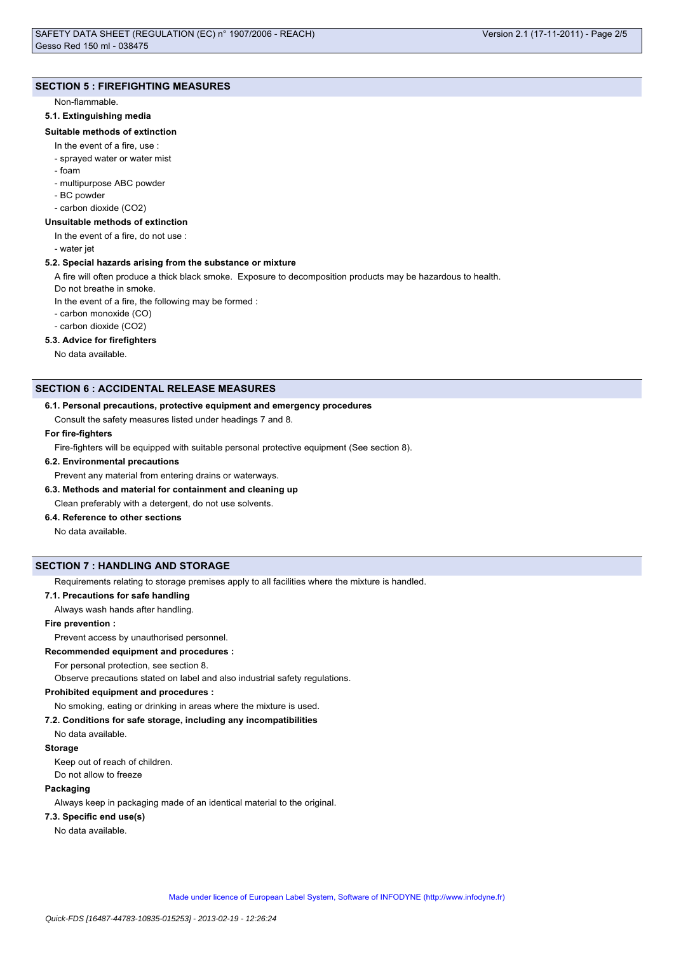## **SECTION 5 : FIREFIGHTING MEASURES**

## Non-flammable.

## **5.1. Extinguishing media**

## **Suitable methods of extinction**

- In the event of a fire, use :
- sprayed water or water mist
- foam
- multipurpose ABC powder
- BC powder
- carbon dioxide (CO2)

## **Unsuitable methods of extinction**

- In the event of a fire, do not use :
- water jet

### **5.2. Special hazards arising from the substance or mixture**

A fire will often produce a thick black smoke. Exposure to decomposition products may be hazardous to health.

- Do not breathe in smoke.
- In the event of a fire, the following may be formed :
- carbon monoxide (CO)
- carbon dioxide (CO2)

## **5.3. Advice for firefighters**

No data available.

### **SECTION 6 : ACCIDENTAL RELEASE MEASURES**

### **6.1. Personal precautions, protective equipment and emergency procedures**

Consult the safety measures listed under headings 7 and 8.

## **For fire-fighters**

Fire-fighters will be equipped with suitable personal protective equipment (See section 8).

#### **6.2. Environmental precautions**

Prevent any material from entering drains or waterways.

## **6.3. Methods and material for containment and cleaning up**

Clean preferably with a detergent, do not use solvents.

## **6.4. Reference to other sections**

No data available.

## **SECTION 7 : HANDLING AND STORAGE**

Requirements relating to storage premises apply to all facilities where the mixture is handled.

## **7.1. Precautions for safe handling**

Always wash hands after handling.

## **Fire prevention :**

Prevent access by unauthorised personnel.

**Recommended equipment and procedures :**

For personal protection, see section 8.

Observe precautions stated on label and also industrial safety regulations.

### **Prohibited equipment and procedures :**

No smoking, eating or drinking in areas where the mixture is used.

#### **7.2. Conditions for safe storage, including any incompatibilities**

No data available.

## **Storage**

Keep out of reach of children. Do not allow to freeze

## **Packaging**

Always keep in packaging made of an identical material to the original.

#### **7.3. Specific end use(s)**

No data available.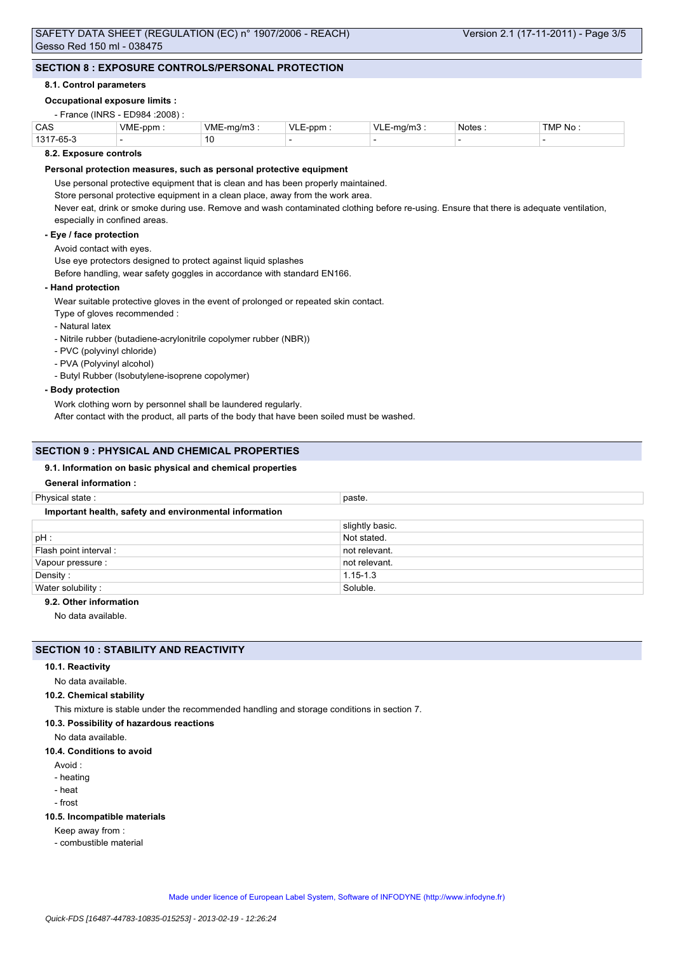## **SECTION 8 : EXPOSURE CONTROLS/PERSONAL PROTECTION**

### **8.1. Control parameters**

### **Occupational exposure limits :**

## - France (INRS - ED984 :2008) :

| CAS                          | <b>VME</b><br>-ppm | $\cdots$<br>∴vM⊢<br><sub>ຳ</sub> /mົ | VI | $\sqrt{ }$<br>٦/n | . .<br><b>Notes</b> | ГMР.<br>No. |
|------------------------------|--------------------|--------------------------------------|----|-------------------|---------------------|-------------|
| 1317<br>$\sim$ $\sim$ $\sim$ |                    | ט ו                                  |    |                   |                     |             |

## **8.2. Exposure controls**

## **Personal protection measures, such as personal protective equipment**

Use personal protective equipment that is clean and has been properly maintained.

Store personal protective equipment in a clean place, away from the work area.

Never eat, drink or smoke during use. Remove and wash contaminated clothing before re-using. Ensure that there is adequate ventilation, especially in confined areas.

## **- Eye / face protection**

Avoid contact with eyes.

Use eye protectors designed to protect against liquid splashes

Before handling, wear safety goggles in accordance with standard EN166.

### **- Hand protection**

Wear suitable protective gloves in the event of prolonged or repeated skin contact.

- Type of gloves recommended :
- Natural latex

- Nitrile rubber (butadiene-acrylonitrile copolymer rubber (NBR))

- PVC (polyvinyl chloride)
- PVA (Polyvinyl alcohol)

- Butyl Rubber (Isobutylene-isoprene copolymer)

## **- Body protection**

Work clothing worn by personnel shall be laundered regularly. After contact with the product, all parts of the body that have been soiled must be washed.

## **SECTION 9 : PHYSICAL AND CHEMICAL PROPERTIES**

### **9.1. Information on basic physical and chemical properties**

### **General information :**

| Physical state:                                        | paste.          |  |  |
|--------------------------------------------------------|-----------------|--|--|
| Important health, safety and environmental information |                 |  |  |
|                                                        | slightly basic. |  |  |
| $pH$ :                                                 | Not stated.     |  |  |
| Flash point interval :                                 | not relevant.   |  |  |
| Vapour pressure :                                      | not relevant.   |  |  |
| Density:                                               | $1.15 - 1.3$    |  |  |
| Water solubility:                                      | Soluble.        |  |  |

## **9.2. Other information**

No data available.

## **SECTION 10 : STABILITY AND REACTIVITY**

#### **10.1. Reactivity**

No data available.

#### **10.2. Chemical stability**

This mixture is stable under the recommended handling and storage conditions in section 7.

#### **10.3. Possibility of hazardous reactions**

No data available.

## **10.4. Conditions to avoid**

- Avoid :
- heating
- heat
- frost

#### **10.5. Incompatible materials**

- Keep away from :
- combustible material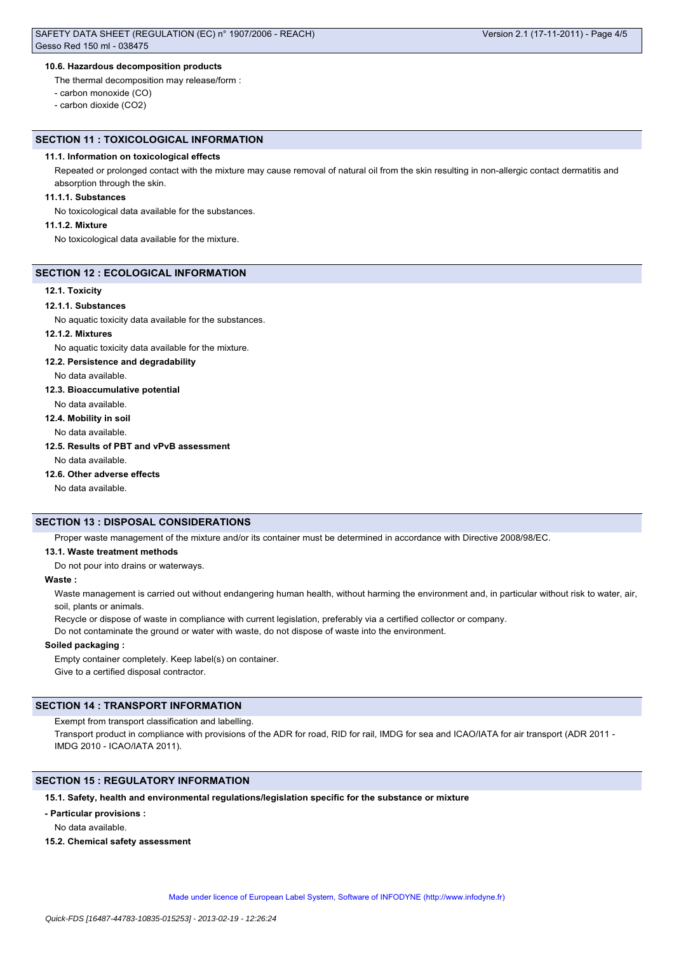### **10.6. Hazardous decomposition products**

The thermal decomposition may release/form :

- carbon monoxide (CO)

- carbon dioxide (CO2)

### **SECTION 11 : TOXICOLOGICAL INFORMATION**

### **11.1. Information on toxicological effects**

Repeated or prolonged contact with the mixture may cause removal of natural oil from the skin resulting in non-allergic contact dermatitis and absorption through the skin.

## **11.1.1. Substances**

No toxicological data available for the substances.

#### **11.1.2. Mixture**

No toxicological data available for the mixture.

#### **SECTION 12 : ECOLOGICAL INFORMATION**

## **12.1. Toxicity**

### **12.1.1. Substances**

No aquatic toxicity data available for the substances.

#### **12.1.2. Mixtures**

No aquatic toxicity data available for the mixture.

## **12.2. Persistence and degradability**

No data available.

### **12.3. Bioaccumulative potential**

No data available.

**12.4. Mobility in soil**

No data available.

## **12.5. Results of PBT and vPvB assessment**

No data available.

#### **12.6. Other adverse effects**

No data available.

## **SECTION 13 : DISPOSAL CONSIDERATIONS**

Proper waste management of the mixture and/or its container must be determined in accordance with Directive 2008/98/EC.

**13.1. Waste treatment methods**

Do not pour into drains or waterways.

## **Waste :**

Waste management is carried out without endangering human health, without harming the environment and, in particular without risk to water, air, soil, plants or animals.

Recycle or dispose of waste in compliance with current legislation, preferably via a certified collector or company.

Do not contaminate the ground or water with waste, do not dispose of waste into the environment.

### **Soiled packaging :**

Empty container completely. Keep label(s) on container. Give to a certified disposal contractor.

## **SECTION 14 : TRANSPORT INFORMATION**

Exempt from transport classification and labelling.

Transport product in compliance with provisions of the ADR for road, RID for rail, IMDG for sea and ICAO/IATA for air transport (ADR 2011 -IMDG 2010 - ICAO/IATA 2011).

## **SECTION 15 : REGULATORY INFORMATION**

## **15.1. Safety, health and environmental regulations/legislation specific for the substance or mixture**

**- Particular provisions :**

No data available.

**15.2. Chemical safety assessment**